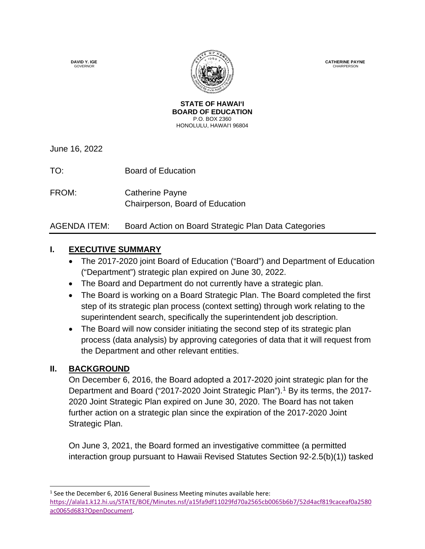**DAVID Y. IGE GOVERNOR** 



**CATHERINE PAYNE CHAIRPERSON** 

**STATE OF HAWAI'I BOARD OF EDUCATION** P.O. BOX 2360 HONOLULU, HAWAI'I 96804

June 16, 2022

TO: Board of Education

FROM: Catherine Payne Chairperson, Board of Education

# AGENDA ITEM: Board Action on Board Strategic Plan Data Categories

### **I. EXECUTIVE SUMMARY**

- The 2017-2020 joint Board of Education ("Board") and Department of Education ("Department") strategic plan expired on June 30, 2022.
- The Board and Department do not currently have a strategic plan.
- The Board is working on a Board Strategic Plan. The Board completed the first step of its strategic plan process (context setting) through work relating to the superintendent search, specifically the superintendent job description.
- The Board will now consider initiating the second step of its strategic plan process (data analysis) by approving categories of data that it will request from the Department and other relevant entities.

# **II. BACKGROUND**

On December 6, 2016, the Board adopted a 2017-2020 joint strategic plan for the Department and Board ("20[1](#page-0-0)7-2020 Joint Strategic Plan").<sup>1</sup> By its terms, the 2017-2020 Joint Strategic Plan expired on June 30, 2020. The Board has not taken further action on a strategic plan since the expiration of the 2017-2020 Joint Strategic Plan.

On June 3, 2021, the Board formed an investigative committee (a permitted interaction group pursuant to Hawaii Revised Statutes Section 92-2.5(b)(1)) tasked

<span id="page-0-0"></span> $\overline{a}$  $1$  See the December 6, 2016 General Business Meeting minutes available here:

[https://alala1.k12.hi.us/STATE/BOE/Minutes.nsf/a15fa9df11029fd70a2565cb0065b6b7/52d4acf819caceaf0a2580](https://alala1.k12.hi.us/STATE/BOE/Minutes.nsf/a15fa9df11029fd70a2565cb0065b6b7/52d4acf819caceaf0a2580ac0065d683?OpenDocument) [ac0065d683?OpenDocument.](https://alala1.k12.hi.us/STATE/BOE/Minutes.nsf/a15fa9df11029fd70a2565cb0065b6b7/52d4acf819caceaf0a2580ac0065d683?OpenDocument)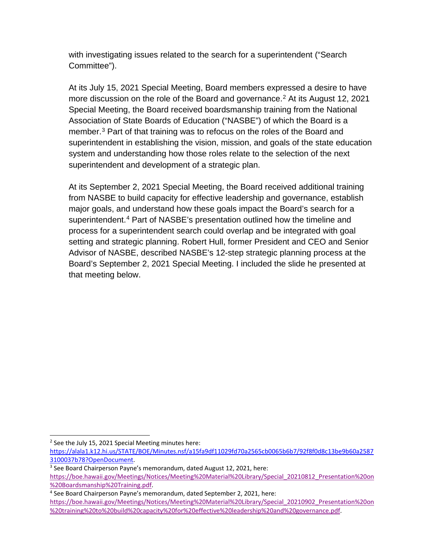with investigating issues related to the search for a superintendent ("Search Committee").

At its July 15, 2021 Special Meeting, Board members expressed a desire to have more discussion on the role of the Board and governance.<sup>[2](#page-1-0)</sup> At its August 12, 2021 Special Meeting, the Board received boardsmanship training from the National Association of State Boards of Education ("NASBE") of which the Board is a member.[3](#page-1-1) Part of that training was to refocus on the roles of the Board and superintendent in establishing the vision, mission, and goals of the state education system and understanding how those roles relate to the selection of the next superintendent and development of a strategic plan.

At its September 2, 2021 Special Meeting, the Board received additional training from NASBE to build capacity for effective leadership and governance, establish major goals, and understand how these goals impact the Board's search for a superintendent.[4](#page-1-2) Part of NASBE's presentation outlined how the timeline and process for a superintendent search could overlap and be integrated with goal setting and strategic planning. Robert Hull, former President and CEO and Senior Advisor of NASBE, described NASBE's 12-step strategic planning process at the Board's September 2, 2021 Special Meeting. I included the slide he presented at that meeting below.

<span id="page-1-0"></span> $\overline{a}$ <sup>2</sup> See the July 15, 2021 Special Meeting minutes here:

[https://alala1.k12.hi.us/STATE/BOE/Minutes.nsf/a15fa9df11029fd70a2565cb0065b6b7/92f8f0d8c13be9b60a2587](https://alala1.k12.hi.us/STATE/BOE/Minutes.nsf/a15fa9df11029fd70a2565cb0065b6b7/92f8f0d8c13be9b60a25873100037b78?OpenDocument) [3100037b78?OpenDocument.](https://alala1.k12.hi.us/STATE/BOE/Minutes.nsf/a15fa9df11029fd70a2565cb0065b6b7/92f8f0d8c13be9b60a25873100037b78?OpenDocument)

<span id="page-1-1"></span><sup>3</sup> See Board Chairperson Payne's memorandum, dated August 12, 2021, here:

[https://boe.hawaii.gov/Meetings/Notices/Meeting%20Material%20Library/Special\\_20210812\\_Presentation%20on](https://boe.hawaii.gov/Meetings/Notices/Meeting%20Material%20Library/Special_20210812_Presentation%20on%20Boardsmanship%20Training.pdf) [%20Boardsmanship%20Training.pdf.](https://boe.hawaii.gov/Meetings/Notices/Meeting%20Material%20Library/Special_20210812_Presentation%20on%20Boardsmanship%20Training.pdf)

<span id="page-1-2"></span><sup>4</sup> See Board Chairperson Payne's memorandum, dated September 2, 2021, here:

[https://boe.hawaii.gov/Meetings/Notices/Meeting%20Material%20Library/Special\\_20210902\\_Presentation%20on](https://boe.hawaii.gov/Meetings/Notices/Meeting%20Material%20Library/Special_20210902_Presentation%20on%20training%20to%20build%20capacity%20for%20effective%20leadership%20and%20governance.pdf) [%20training%20to%20build%20capacity%20for%20effective%20leadership%20and%20governance.pdf.](https://boe.hawaii.gov/Meetings/Notices/Meeting%20Material%20Library/Special_20210902_Presentation%20on%20training%20to%20build%20capacity%20for%20effective%20leadership%20and%20governance.pdf)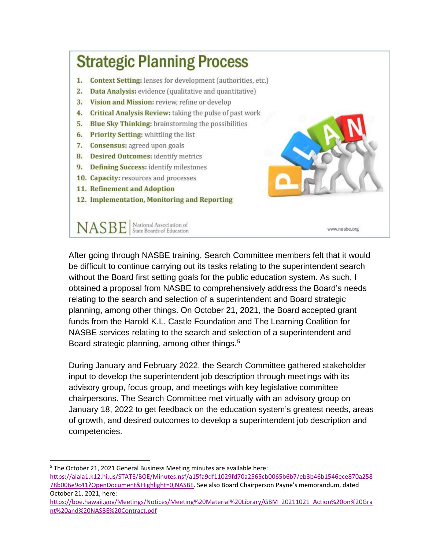

After going through NASBE training, Search Committee members felt that it would be difficult to continue carrying out its tasks relating to the superintendent search without the Board first setting goals for the public education system. As such, I obtained a proposal from NASBE to comprehensively address the Board's needs relating to the search and selection of a superintendent and Board strategic planning, among other things. On October 21, 2021, the Board accepted grant funds from the Harold K.L. Castle Foundation and The Learning Coalition for NASBE services relating to the search and selection of a superintendent and Board strategic planning, among other things.<sup>[5](#page-2-0)</sup>

During January and February 2022, the Search Committee gathered stakeholder input to develop the superintendent job description through meetings with its advisory group, focus group, and meetings with key legislative committee chairpersons. The Search Committee met virtually with an advisory group on January 18, 2022 to get feedback on the education system's greatest needs, areas of growth, and desired outcomes to develop a superintendent job description and competencies.

<span id="page-2-0"></span><sup>5</sup> The October 21, 2021 General Business Meeting minutes are available here: [https://alala1.k12.hi.us/STATE/BOE/Minutes.nsf/a15fa9df11029fd70a2565cb0065b6b7/eb3b46b1546ece870a258](https://alala1.k12.hi.us/STATE/BOE/Minutes.nsf/a15fa9df11029fd70a2565cb0065b6b7/eb3b46b1546ece870a25878b006e9c41?OpenDocument&Highlight=0,NASBE) [78b006e9c41?OpenDocument&Highlight=0,NASBE.](https://alala1.k12.hi.us/STATE/BOE/Minutes.nsf/a15fa9df11029fd70a2565cb0065b6b7/eb3b46b1546ece870a25878b006e9c41?OpenDocument&Highlight=0,NASBE) See also Board Chairperson Payne's memorandum, dated October 21, 2021, here:

 $\overline{a}$ 

[https://boe.hawaii.gov/Meetings/Notices/Meeting%20Material%20Library/GBM\\_20211021\\_Action%20on%20Gra](https://boe.hawaii.gov/Meetings/Notices/Meeting%20Material%20Library/GBM_20211021_Action%20on%20Grant%20and%20NASBE%20Contract.pdf) [nt%20and%20NASBE%20Contract.pdf](https://boe.hawaii.gov/Meetings/Notices/Meeting%20Material%20Library/GBM_20211021_Action%20on%20Grant%20and%20NASBE%20Contract.pdf)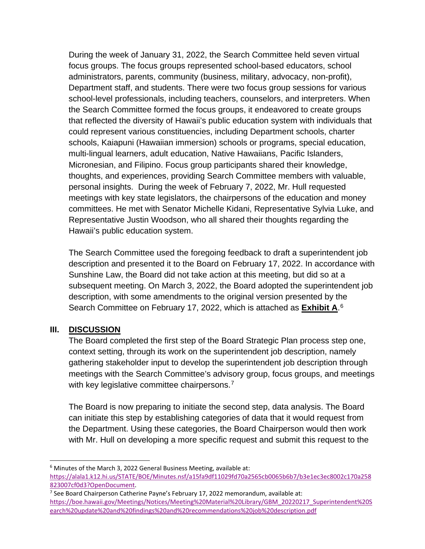During the week of January 31, 2022, the Search Committee held seven virtual focus groups. The focus groups represented school-based educators, school administrators, parents, community (business, military, advocacy, non-profit), Department staff, and students. There were two focus group sessions for various school-level professionals, including teachers, counselors, and interpreters. When the Search Committee formed the focus groups, it endeavored to create groups that reflected the diversity of Hawaii's public education system with individuals that could represent various constituencies, including Department schools, charter schools, Kaiapuni (Hawaiian immersion) schools or programs, special education, multi-lingual learners, adult education, Native Hawaiians, Pacific Islanders, Micronesian, and Filipino. Focus group participants shared their knowledge, thoughts, and experiences, providing Search Committee members with valuable, personal insights. During the week of February 7, 2022, Mr. Hull requested meetings with key state legislators, the chairpersons of the education and money committees. He met with Senator Michelle Kidani, Representative Sylvia Luke, and Representative Justin Woodson, who all shared their thoughts regarding the Hawaii's public education system.

The Search Committee used the foregoing feedback to draft a superintendent job description and presented it to the Board on February 17, 2022. In accordance with Sunshine Law, the Board did not take action at this meeting, but did so at a subsequent meeting. On March 3, 2022, the Board adopted the superintendent job description, with some amendments to the original version presented by the Search Committee on February 17, 2022, which is attached as **Exhibit A**. [6](#page-3-0)

#### **III. DISCUSSION**

 $\overline{a}$ 

The Board completed the first step of the Board Strategic Plan process step one, context setting, through its work on the superintendent job description, namely gathering stakeholder input to develop the superintendent job description through meetings with the Search Committee's advisory group, focus groups, and meetings with key legislative committee chairpersons.<sup>[7](#page-3-1)</sup>

The Board is now preparing to initiate the second step, data analysis. The Board can initiate this step by establishing categories of data that it would request from the Department. Using these categories, the Board Chairperson would then work with Mr. Hull on developing a more specific request and submit this request to the

<span id="page-3-0"></span><sup>&</sup>lt;sup>6</sup> Minutes of the March 3, 2022 General Business Meeting, available at: [https://alala1.k12.hi.us/STATE/BOE/Minutes.nsf/a15fa9df11029fd70a2565cb0065b6b7/b3e1ec3ec8002c170a258](https://alala1.k12.hi.us/STATE/BOE/Minutes.nsf/a15fa9df11029fd70a2565cb0065b6b7/b3e1ec3ec8002c170a258823007cf0d3?OpenDocument) [823007cf0d3?OpenDocument.](https://alala1.k12.hi.us/STATE/BOE/Minutes.nsf/a15fa9df11029fd70a2565cb0065b6b7/b3e1ec3ec8002c170a258823007cf0d3?OpenDocument)

<span id="page-3-1"></span> $7$  See Board Chairperson Catherine Payne's February 17, 2022 memorandum, available at: [https://boe.hawaii.gov/Meetings/Notices/Meeting%20Material%20Library/GBM\\_20220217\\_Superintendent%20S](https://boe.hawaii.gov/Meetings/Notices/Meeting%20Material%20Library/GBM_20220217_Superintendent%20Search%20update%20and%20findings%20and%20recommendations%20job%20description.pdf) [earch%20update%20and%20findings%20and%20recommendations%20job%20description.pdf](https://boe.hawaii.gov/Meetings/Notices/Meeting%20Material%20Library/GBM_20220217_Superintendent%20Search%20update%20and%20findings%20and%20recommendations%20job%20description.pdf)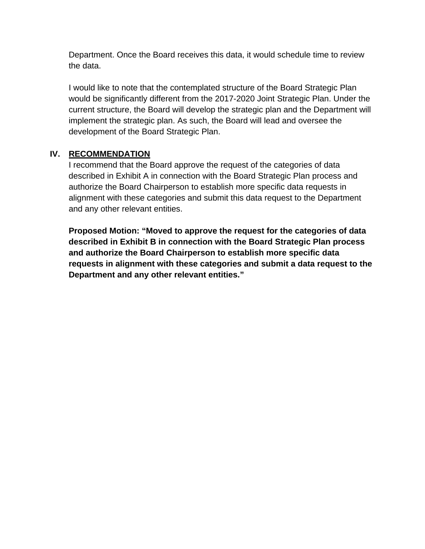Department. Once the Board receives this data, it would schedule time to review the data.

I would like to note that the contemplated structure of the Board Strategic Plan would be significantly different from the 2017-2020 Joint Strategic Plan. Under the current structure, the Board will develop the strategic plan and the Department will implement the strategic plan. As such, the Board will lead and oversee the development of the Board Strategic Plan.

### **IV. RECOMMENDATION**

I recommend that the Board approve the request of the categories of data described in Exhibit A in connection with the Board Strategic Plan process and authorize the Board Chairperson to establish more specific data requests in alignment with these categories and submit this data request to the Department and any other relevant entities.

**Proposed Motion: "Moved to approve the request for the categories of data described in Exhibit B in connection with the Board Strategic Plan process and authorize the Board Chairperson to establish more specific data requests in alignment with these categories and submit a data request to the Department and any other relevant entities."**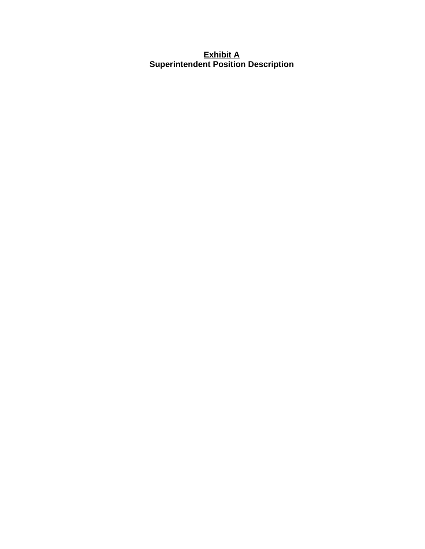#### **Exhibit A Superintendent Position Description**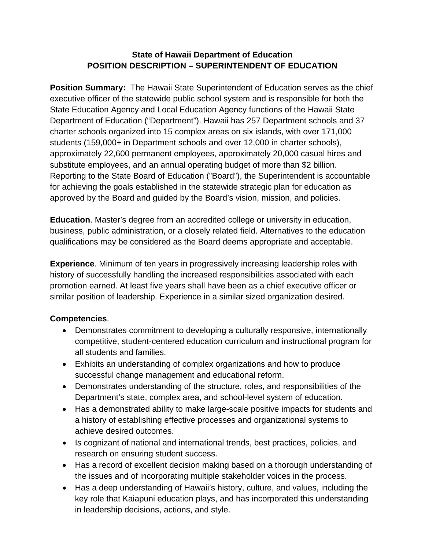#### **State of Hawaii Department of Education POSITION DESCRIPTION – SUPERINTENDENT OF EDUCATION**

**Position Summary:** The Hawaii State Superintendent of Education serves as the chief executive officer of the statewide public school system and is responsible for both the State Education Agency and Local Education Agency functions of the Hawaii State Department of Education ("Department"). Hawaii has 257 Department schools and 37 charter schools organized into 15 complex areas on six islands, with over 171,000 students (159,000+ in Department schools and over 12,000 in charter schools), approximately 22,600 permanent employees, approximately 20,000 casual hires and substitute employees, and an annual operating budget of more than \$2 billion. Reporting to the State Board of Education ("Board"), the Superintendent is accountable for achieving the goals established in the statewide strategic plan for education as approved by the Board and guided by the Board's vision, mission, and policies.

**Education**. Master's degree from an accredited college or university in education, business, public administration, or a closely related field. Alternatives to the education qualifications may be considered as the Board deems appropriate and acceptable.

**Experience**. Minimum of ten years in progressively increasing leadership roles with history of successfully handling the increased responsibilities associated with each promotion earned. At least five years shall have been as a chief executive officer or similar position of leadership. Experience in a similar sized organization desired.

#### **Competencies**.

- Demonstrates commitment to developing a culturally responsive, internationally competitive, student-centered education curriculum and instructional program for all students and families.
- Exhibits an understanding of complex organizations and how to produce successful change management and educational reform.
- Demonstrates understanding of the structure, roles, and responsibilities of the Department's state, complex area, and school-level system of education.
- Has a demonstrated ability to make large-scale positive impacts for students and a history of establishing effective processes and organizational systems to achieve desired outcomes.
- Is cognizant of national and international trends, best practices, policies, and research on ensuring student success.
- Has a record of excellent decision making based on a thorough understanding of the issues and of incorporating multiple stakeholder voices in the process.
- Has a deep understanding of Hawaii's history, culture, and values, including the key role that Kaiapuni education plays, and has incorporated this understanding in leadership decisions, actions, and style.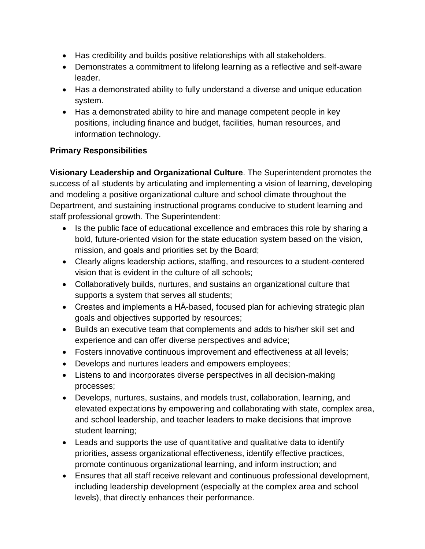- Has credibility and builds positive relationships with all stakeholders.
- Demonstrates a commitment to lifelong learning as a reflective and self-aware leader.
- Has a demonstrated ability to fully understand a diverse and unique education system.
- Has a demonstrated ability to hire and manage competent people in key positions, including finance and budget, facilities, human resources, and information technology.

### **Primary Responsibilities**

**Visionary Leadership and Organizational Culture**. The Superintendent promotes the success of all students by articulating and implementing a vision of learning, developing and modeling a positive organizational culture and school climate throughout the Department, and sustaining instructional programs conducive to student learning and staff professional growth. The Superintendent:

- Is the public face of educational excellence and embraces this role by sharing a bold, future-oriented vision for the state education system based on the vision, mission, and goals and priorities set by the Board;
- Clearly aligns leadership actions, staffing, and resources to a student-centered vision that is evident in the culture of all schools;
- Collaboratively builds, nurtures, and sustains an organizational culture that supports a system that serves all students;
- Creates and implements a HĀ-based, focused plan for achieving strategic plan goals and objectives supported by resources;
- Builds an executive team that complements and adds to his/her skill set and experience and can offer diverse perspectives and advice;
- Fosters innovative continuous improvement and effectiveness at all levels;
- Develops and nurtures leaders and empowers employees;
- Listens to and incorporates diverse perspectives in all decision-making processes;
- Develops, nurtures, sustains, and models trust, collaboration, learning, and elevated expectations by empowering and collaborating with state, complex area, and school leadership, and teacher leaders to make decisions that improve student learning;
- Leads and supports the use of quantitative and qualitative data to identify priorities, assess organizational effectiveness, identify effective practices, promote continuous organizational learning, and inform instruction; and
- Ensures that all staff receive relevant and continuous professional development, including leadership development (especially at the complex area and school levels), that directly enhances their performance.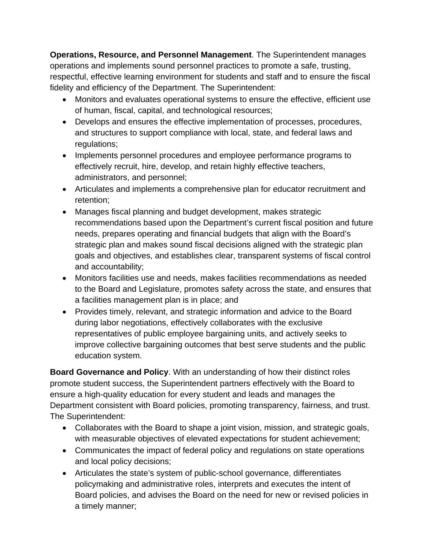**Operations, Resource, and Personnel Management**. The Superintendent manages operations and implements sound personnel practices to promote a safe, trusting, respectful, effective learning environment for students and staff and to ensure the fiscal fidelity and efficiency of the Department. The Superintendent:

- Monitors and evaluates operational systems to ensure the effective, efficient use of human, fiscal, capital, and technological resources;
- Develops and ensures the effective implementation of processes, procedures, and structures to support compliance with local, state, and federal laws and regulations;
- Implements personnel procedures and employee performance programs to effectively recruit, hire, develop, and retain highly effective teachers, administrators, and personnel;
- Articulates and implements a comprehensive plan for educator recruitment and retention;
- Manages fiscal planning and budget development, makes strategic recommendations based upon the Department's current fiscal position and future needs, prepares operating and financial budgets that align with the Board's strategic plan and makes sound fiscal decisions aligned with the strategic plan goals and objectives, and establishes clear, transparent systems of fiscal control and accountability;
- Monitors facilities use and needs, makes facilities recommendations as needed to the Board and Legislature, promotes safety across the state, and ensures that a facilities management plan is in place; and
- Provides timely, relevant, and strategic information and advice to the Board during labor negotiations, effectively collaborates with the exclusive representatives of public employee bargaining units, and actively seeks to improve collective bargaining outcomes that best serve students and the public education system.

**Board Governance and Policy**. With an understanding of how their distinct roles promote student success, the Superintendent partners effectively with the Board to ensure a high-quality education for every student and leads and manages the Department consistent with Board policies, promoting transparency, fairness, and trust. The Superintendent:

- Collaborates with the Board to shape a joint vision, mission, and strategic goals, with measurable objectives of elevated expectations for student achievement;
- Communicates the impact of federal policy and regulations on state operations and local policy decisions;
- Articulates the state's system of public-school governance, differentiates policymaking and administrative roles, interprets and executes the intent of Board policies, and advises the Board on the need for new or revised policies in a timely manner;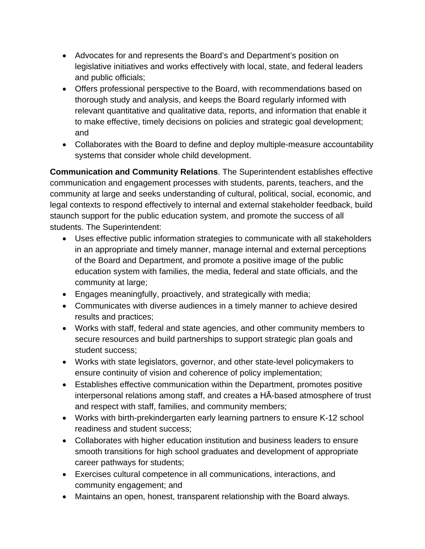- Advocates for and represents the Board's and Department's position on legislative initiatives and works effectively with local, state, and federal leaders and public officials;
- Offers professional perspective to the Board, with recommendations based on thorough study and analysis, and keeps the Board regularly informed with relevant quantitative and qualitative data, reports, and information that enable it to make effective, timely decisions on policies and strategic goal development; and
- Collaborates with the Board to define and deploy multiple-measure accountability systems that consider whole child development.

**Communication and Community Relations**. The Superintendent establishes effective communication and engagement processes with students, parents, teachers, and the community at large and seeks understanding of cultural, political, social, economic, and legal contexts to respond effectively to internal and external stakeholder feedback, build staunch support for the public education system, and promote the success of all students. The Superintendent:

- Uses effective public information strategies to communicate with all stakeholders in an appropriate and timely manner, manage internal and external perceptions of the Board and Department, and promote a positive image of the public education system with families, the media, federal and state officials, and the community at large;
- Engages meaningfully, proactively, and strategically with media;
- Communicates with diverse audiences in a timely manner to achieve desired results and practices;
- Works with staff, federal and state agencies, and other community members to secure resources and build partnerships to support strategic plan goals and student success;
- Works with state legislators, governor, and other state-level policymakers to ensure continuity of vision and coherence of policy implementation;
- Establishes effective communication within the Department, promotes positive interpersonal relations among staff, and creates a HĀ-based atmosphere of trust and respect with staff, families, and community members;
- Works with birth-prekindergarten early learning partners to ensure K-12 school readiness and student success;
- Collaborates with higher education institution and business leaders to ensure smooth transitions for high school graduates and development of appropriate career pathways for students;
- Exercises cultural competence in all communications, interactions, and community engagement; and
- Maintains an open, honest, transparent relationship with the Board always.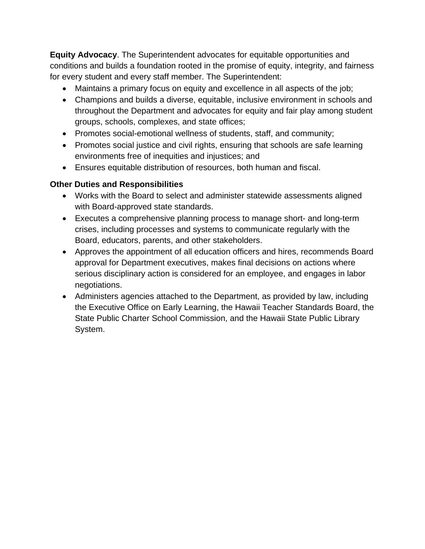**Equity Advocacy**. The Superintendent advocates for equitable opportunities and conditions and builds a foundation rooted in the promise of equity, integrity, and fairness for every student and every staff member. The Superintendent:

- Maintains a primary focus on equity and excellence in all aspects of the job;
- Champions and builds a diverse, equitable, inclusive environment in schools and throughout the Department and advocates for equity and fair play among student groups, schools, complexes, and state offices;
- Promotes social-emotional wellness of students, staff, and community;
- Promotes social justice and civil rights, ensuring that schools are safe learning environments free of inequities and injustices; and
- Ensures equitable distribution of resources, both human and fiscal.

### **Other Duties and Responsibilities**

- Works with the Board to select and administer statewide assessments aligned with Board-approved state standards.
- Executes a comprehensive planning process to manage short- and long-term crises, including processes and systems to communicate regularly with the Board, educators, parents, and other stakeholders.
- Approves the appointment of all education officers and hires, recommends Board approval for Department executives, makes final decisions on actions where serious disciplinary action is considered for an employee, and engages in labor negotiations.
- Administers agencies attached to the Department, as provided by law, including the Executive Office on Early Learning, the Hawaii Teacher Standards Board, the State Public Charter School Commission, and the Hawaii State Public Library System.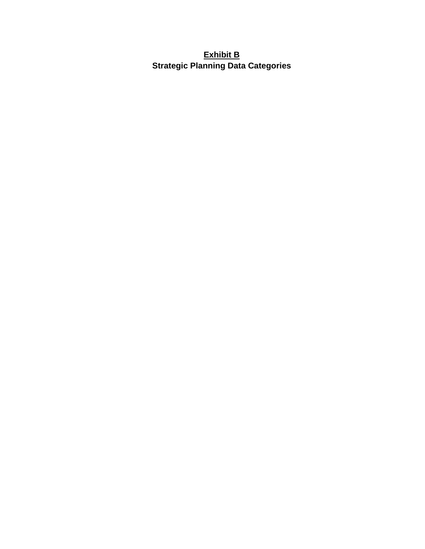# **Exhibit B Strategic Planning Data Categories**